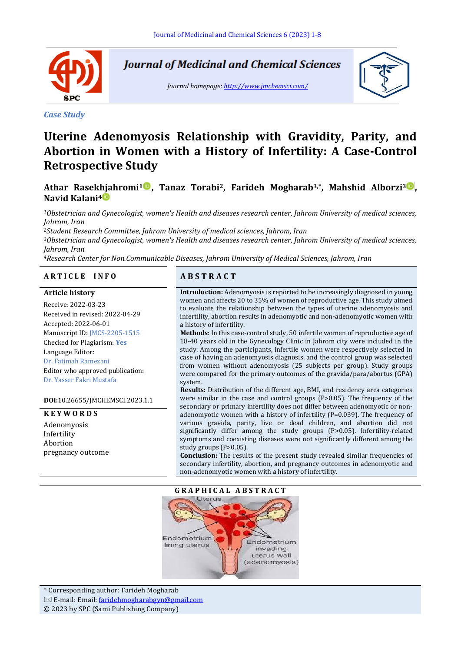

*Case Study*

**Journal of Medicinal and Chemical Sciences** 

*Journal homepage[: http://www.jmchemsci.com/](http://www.jmchemsci.com/)*



# **Uterine Adenomyosis Relationship with Gravidity, Parity, and Abortion in Women with a History of Infertility: A Case-Control Retrospective Study**

# **Athar Rasekhjahromi<sup>1</sup> , Tanaz Torabi2, Farideh Mogharab3,\* , Mahshid Alborzi<sup>3</sup> , Navid Kalani<sup>4</sup>**

*<sup>1</sup>Obstetrician and Gynecologist, women's Health and diseases research center, Jahrom University of medical sciences, Jahrom, Iran*

*<sup>2</sup>Student Research Committee, Jahrom University of medical sciences, Jahrom, Iran*

*<sup>3</sup>Obstetrician and Gynecologist, women's Health and diseases research center, Jahrom University of medical sciences, Jahrom, Iran*

*<sup>4</sup>Research Center for Non.Communicable Diseases, Jahrom University of Medical Sciences, Jahrom, Iran*

#### **A R T I C L E I N F O A B S T R A C T**

#### **Article history**

Receive: 2022-03-23 Received in revised: 2022-04-29 Accepted: 2022-06-01 Manuscript ID: JMCS-2205-1515 Checked for Plagiarism: **Yes** Language Editor: Dr. Fatimah Ramezani Editor who approved publication: Dr. Yasser Fakri Mustafa

#### **DOI:**10.26655/JMCHEMSCI.2023.1.1

#### **K E Y W O R D S**

Adenomyosis Infertility Abortion pregnancy outcome

**Introduction:** Adenomyosis is reported to be increasingly diagnosed in young women and affects 20 to 35% of women of reproductive age. This study aimed to evaluate the relationship between the types of uterine adenomyosis and infertility, abortion results in adenomyotic and non-adenomyotic women with a history of infertility.

**Methods**: In this case-control study, 50 infertile women of reproductive age of 18-40 years old in the Gynecology Clinic in Jahrom city were included in the study. Among the participants, infertile women were respectively selected in case of having an adenomyosis diagnosis, and the control group was selected from women without adenomyosis (25 subjects per group). Study groups were compared for the primary outcomes of the gravida/para/abortus (GPA) system.

**Results:** Distribution of the different age, BMI, and residency area categories were similar in the case and control groups (P>0.05). The frequency of the secondary or primary infertility does not differ between adenomyotic or nonadenomyotic women with a history of infertility (P=0.039). The frequency of various gravida, parity, live or dead children, and abortion did not significantly differ among the study groups (P>0.05). Infertility-related symptoms and coexisting diseases were not significantly different among the study groups (P>0.05).

**Conclusion:** The results of the present study revealed similar frequencies of secondary infertility, abortion, and pregnancy outcomes in adenomyotic and non-adenomyotic women with a history of infertility.



\* Corresponding author: Farideh Mogharab  $\boxtimes$  E-mail: Email: [faridehmogharabgyn@gmail.com](mailto:faridehmogharabgyn@gmail.com) © 2023 by SPC (Sami Publishing Company)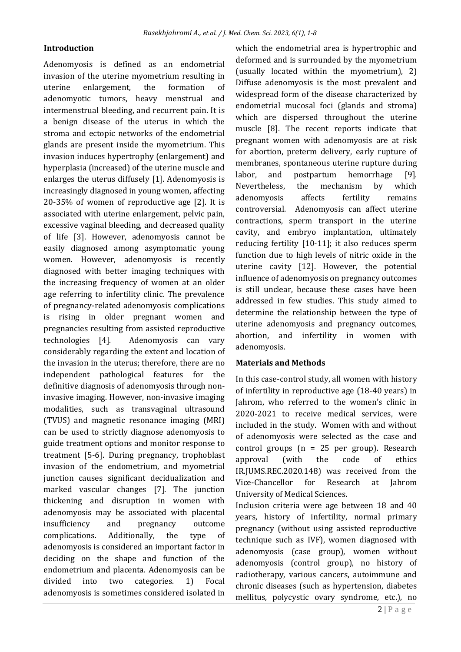# **Introduction**

Adenomyosis is defined as an endometrial invasion of the uterine myometrium resulting in uterine enlargement, the formation of adenomyotic tumors, heavy menstrual and intermenstrual bleeding, and recurrent pain. It is a benign disease of the uterus in which the stroma and ectopic networks of the endometrial glands are present inside the myometrium. This invasion induces hypertrophy (enlargement) and hyperplasia (increased) of the uterine muscle and enlarges the uterus diffusely [1]. Adenomyosis is increasingly diagnosed in young women, affecting 20-35% of women of reproductive age [2]. It is associated with uterine enlargement, pelvic pain, excessive vaginal bleeding, and decreased quality of life [3]. However, adenomyosis cannot be easily diagnosed among asymptomatic young women. However, adenomyosis is recently diagnosed with better imaging techniques with the increasing frequency of women at an older age referring to infertility clinic. The prevalence of pregnancy-related adenomyosis complications is rising in older pregnant women and pregnancies resulting from assisted reproductive technologies [4]. Adenomyosis can vary considerably regarding the extent and location of the invasion in the uterus; therefore, there are no independent pathological features for the definitive diagnosis of adenomyosis through noninvasive imaging. However, non-invasive imaging modalities, such as transvaginal ultrasound (TVUS) and magnetic resonance imaging (MRI) can be used to strictly diagnose adenomyosis to guide treatment options and monitor response to treatment [5-6]. During pregnancy, trophoblast invasion of the endometrium, and myometrial junction causes significant decidualization and marked vascular changes [7]. The junction thickening and disruption in women with adenomyosis may be associated with placental insufficiency and pregnancy outcome complications. Additionally, the type of adenomyosis is considered an important factor in deciding on the shape and function of the endometrium and placenta. Adenomyosis can be divided into two categories. 1) Focal adenomyosis is sometimes considered isolated in

which the endometrial area is hypertrophic and deformed and is surrounded by the myometrium (usually located within the myometrium), 2) Diffuse adenomyosis is the most prevalent and widespread form of the disease characterized by endometrial mucosal foci (glands and stroma) which are dispersed throughout the uterine muscle [8]. The recent reports indicate that pregnant women with adenomyosis are at risk for abortion, preterm delivery, early rupture of membranes, spontaneous uterine rupture during labor, and postpartum hemorrhage [9]. Nevertheless, the mechanism by which adenomyosis affects fertility remains controversial. Adenomyosis can affect uterine contractions, sperm transport in the uterine cavity, and embryo implantation, ultimately reducing fertility [10-11]; it also reduces sperm function due to high levels of nitric oxide in the uterine cavity [12]. However, the potential influence of adenomyosis on pregnancy outcomes is still unclear, because these cases have been addressed in few studies. This study aimed to determine the relationship between the type of uterine adenomyosis and pregnancy outcomes, abortion, and infertility in women with adenomyosis.

# **Materials and Methods**

In this case-control study, all women with history of infertility in reproductive age (18-40 years) in Jahrom, who referred to the women's clinic in 2020-2021 to receive medical services, were included in the study. Women with and without of adenomyosis were selected as the case and control groups (n = 25 per group). Research approval (with the code of ethics IR.JUMS.REC.2020.148) was received from the Vice-Chancellor for Research at Jahrom University of Medical Sciences.

Inclusion criteria were age between 18 and 40 years, history of infertility, normal primary pregnancy (without using assisted reproductive technique such as IVF), women diagnosed with adenomyosis (case group), women without adenomyosis (control group), no history of radiotherapy, various cancers, autoimmune and chronic diseases (such as hypertension, diabetes mellitus, polycystic ovary syndrome, etc.), no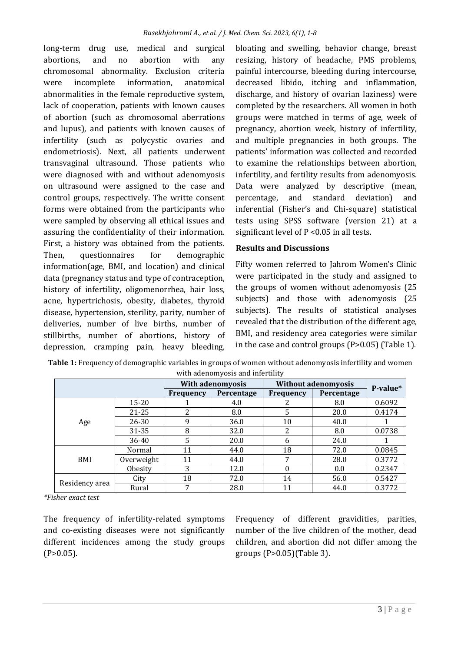long-term drug use, medical and surgical abortions, and no abortion with any chromosomal abnormality. Exclusion criteria were incomplete information, anatomical abnormalities in the female reproductive system, lack of cooperation, patients with known causes of abortion (such as chromosomal aberrations and lupus), and patients with known causes of infertility (such as polycystic ovaries and endometriosis). Next, all patients underwent transvaginal ultrasound. Those patients who were diagnosed with and without adenomyosis on ultrasound were assigned to the case and control groups, respectively. The writte consent forms were obtained from the participants who were sampled by observing all ethical issues and assuring the confidentiality of their information. First, a history was obtained from the patients. Then, questionnaires for demographic information(age, BMI, and location) and clinical data (pregnancy status and type of contraception, history of infertility, oligomenorrhea, hair loss, acne, hypertrichosis, obesity, diabetes, thyroid disease, hypertension, sterility, parity, number of deliveries, number of live births, number of stillbirths, number of abortions, history of depression, cramping pain, heavy bleeding,

bloating and swelling, behavior change, breast resizing, history of headache, PMS problems, painful intercourse, bleeding during intercourse, decreased libido, itching and inflammation, discharge, and history of ovarian laziness) were completed by the researchers. All women in both groups were matched in terms of age, week of pregnancy, abortion week, history of infertility, and multiple pregnancies in both groups. The patients' information was collected and recorded to examine the relationships between abortion, infertility, and fertility results from adenomyosis. Data were analyzed by descriptive (mean, percentage, and standard deviation) and inferential (Fisher's and Chi-square) statistical tests using SPSS software (version 21) at a significant level of P <0.05 in all tests.

# **Results and Discussions**

Fifty women referred to Jahrom Women's Clinic were participated in the study and assigned to the groups of women without adenomyosis (25 subjects) and those with adenomyosis (25 subjects). The results of statistical analyses revealed that the distribution of the different age, BMI, and residency area categories were similar in the case and control groups (P>0.05) (Table 1).

|                |            |           | <b>With adenomyosis</b> | <b>Without adenomyosis</b> |            |          |
|----------------|------------|-----------|-------------------------|----------------------------|------------|----------|
|                |            | Frequency | Percentage              | <b>Frequency</b>           | Percentage | P-value* |
|                | $15 - 20$  |           | 4.0                     | ∠                          | 8.0        | 0.6092   |
|                | 21-25      | 2         | 8.0                     | 5                          | 20.0       | 0.4174   |
| Age            | $26 - 30$  | 9         | 36.0                    | 10                         | 40.0       |          |
|                | 31-35      | 8         | 32.0                    | າ<br>∠                     | 8.0        | 0.0738   |
|                | 36-40      | 5         | 20.0                    | 6                          | 24.0       |          |
| BMI            | Normal     | 11        | 44.0                    | 18                         | 72.0       | 0.0845   |
|                | Overweight | 11        | 44.0                    | 7                          | 28.0       | 0.3772   |
|                | Obesity    | 3         | 12.0                    |                            | 0.0        | 0.2347   |
| Residency area | City       | 18        | 72.0                    | 14                         | 56.0       | 0.5427   |
|                | Rural      | 7         | 28.0                    | 11                         | 44.0       | 0.3772   |

**Table 1:** Frequency of demographic variables in groups of women without adenomyosis infertility and women with adenomyosis and infertility

*\*Fisher exact test*

The frequency of infertility-related symptoms and co-existing diseases were not significantly different incidences among the study groups  $(P>0.05)$ .

Frequency of different gravidities, parities, number of the live children of the mother, dead children, and abortion did not differ among the groups (P>0.05)(Table 3).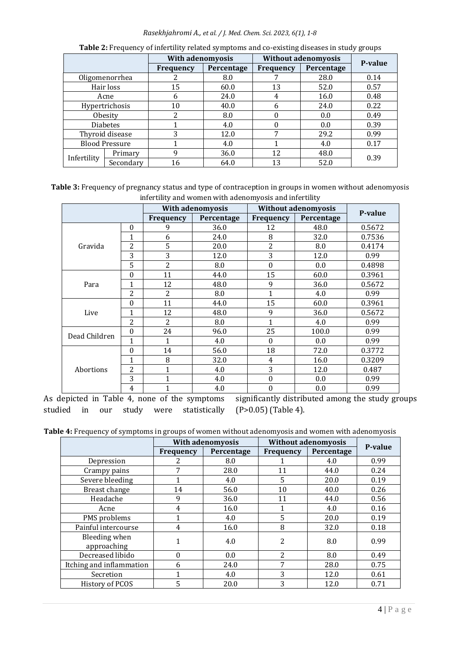### *Rasekhjahromi A., et al. / J. Med. Chem. Sci. 2023, 6(1), 1-8*

|                       |           | <b>With adenomyosis</b> |            | <b>Without adenomyosis</b> |            | P-value |  |
|-----------------------|-----------|-------------------------|------------|----------------------------|------------|---------|--|
|                       |           | <b>Frequency</b>        | Percentage | <b>Frequency</b>           | Percentage |         |  |
| Oligomenorrhea        |           |                         | 8.0        |                            | 28.0       | 0.14    |  |
| Hair loss             |           | 15                      | 60.0       | 13                         | 52.0       | 0.57    |  |
| Acne                  |           | <sub>6</sub>            | 24.0       |                            | 16.0       | 0.48    |  |
| Hypertrichosis        |           | 10                      | 40.0       | 6                          | 24.0       | 0.22    |  |
| Obesity               |           | 2                       | 8.0        |                            | 0.0        | 0.49    |  |
| <b>Diabetes</b>       |           |                         | 4.0        |                            | 0.0        | 0.39    |  |
| Thyroid disease       |           | 3                       | 12.0       | 7                          | 29.2       | 0.99    |  |
| <b>Blood Pressure</b> |           |                         | 4.0        |                            | 4.0        | 0.17    |  |
| Infertility           | Primary   | 9                       | 36.0       | 12                         | 48.0       | 0.39    |  |
|                       | Secondary | 16                      | 64.0       | 13                         | 52.0       |         |  |

|  |  | Table 2: Frequency of infertility related symptoms and co-existing diseases in study groups |  |
|--|--|---------------------------------------------------------------------------------------------|--|
|  |  |                                                                                             |  |

**Table 3:** Frequency of pregnancy status and type of contraception in groups in women without adenomyosis infertility and women with adenomyosis and infertility

|               |                | <b>With adenomyosis</b> |            | <b>Without adenomyosis</b> |            |         |
|---------------|----------------|-------------------------|------------|----------------------------|------------|---------|
|               |                | <b>Frequency</b>        | Percentage | Frequency                  | Percentage | P-value |
|               | $\theta$       | 9                       | 36.0       | 12                         | 48.0       | 0.5672  |
|               | 1              | 6                       | 24.0       | 8                          | 32.0       | 0.7536  |
| Gravida       | $\overline{2}$ | 5                       | 20.0       | $\overline{2}$             | 8.0        | 0.4174  |
|               | 3              | 3                       | 12.0       | 3                          | 12.0       | 0.99    |
|               | 5              | $\overline{2}$          | 8.0        | $\boldsymbol{0}$           | 0.0        | 0.4898  |
|               | $\theta$       | 11                      | 44.0       | 15                         | 60.0       | 0.3961  |
| Para          | 1              | 12                      | 48.0       | 9                          | 36.0       | 0.5672  |
|               | $\overline{2}$ | $\overline{2}$          | 8.0        | 1                          | 4.0        | 0.99    |
|               | $\theta$       | 11                      | 44.0       | 15                         | 60.0       | 0.3961  |
| Live          | 1              | 12                      | 48.0       | 9                          | 36.0       | 0.5672  |
|               | $\overline{2}$ | 2                       | 8.0        | $\mathbf{1}$               | 4.0        | 0.99    |
| Dead Children | $\Omega$       | 24                      | 96.0       | 25                         | 100.0      | 0.99    |
|               | 1              | 1                       | 4.0        | $\theta$                   | 0.0        | 0.99    |
| Abortions     | $\Omega$       | 14                      | 56.0       | 18                         | 72.0       | 0.3772  |
|               | 1              | 8                       | 32.0       | 4                          | 16.0       | 0.3209  |
|               | $\overline{2}$ | 1                       | 4.0        | 3                          | 12.0       | 0.487   |
|               | 3              | 1                       | 4.0        | $\boldsymbol{0}$           | 0.0        | 0.99    |
|               | $\overline{4}$ | $\mathbf 1$             | 4.0        | $\boldsymbol{0}$           | 0.0        | 0.99    |

As depicted in Table 4, none of the symptoms studied in our study were statistically significantly distributed among the study groups (P>0.05) (Table 4).

| Table 4: Frequency of symptoms in groups of women without adenomyosis and women with adenomyosis |  |  |
|--------------------------------------------------------------------------------------------------|--|--|
|--------------------------------------------------------------------------------------------------|--|--|

|                              | <b>With adenomyosis</b> |            | <b>Without adenomyosis</b> |            | P-value |
|------------------------------|-------------------------|------------|----------------------------|------------|---------|
|                              | <b>Frequency</b>        | Percentage | <b>Frequency</b>           | Percentage |         |
| Depression                   |                         | 8.0        |                            | 4.0        | 0.99    |
| Crampy pains                 | 7                       | 28.0       | 11                         | 44.0       | 0.24    |
| Severe bleeding              |                         | 4.0        | 5                          | 20.0       | 0.19    |
| Breast change                | 14                      | 56.0       | 10                         | 40.0       | 0.26    |
| Headache                     | 9                       | 36.0       | 11                         | 44.0       | 0.56    |
| Acne                         | 4                       | 16.0       |                            | 4.0        | 0.16    |
| PMS problems                 |                         | 4.0        | 5                          | 20.0       | 0.19    |
| Painful intercourse          | 4                       | 16.0       | 8                          | 32.0       | 0.18    |
| Bleeding when<br>approaching |                         | 4.0        | 2                          | 8.0        | 0.99    |
| Decreased libido             | $\Omega$                | 0.0        | 2                          | 8.0        | 0.49    |
| Itching and inflammation     | 6                       | 24.0       | 7                          | 28.0       | 0.75    |
| Secretion                    |                         | 4.0        | 3                          | 12.0       | 0.61    |
| History of PCOS              | 5                       | 20.0       | 3                          | 12.0       | 0.71    |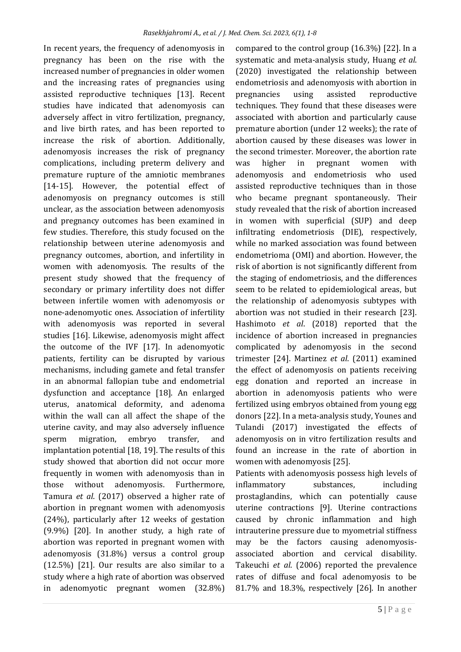In recent years, the frequency of adenomyosis in pregnancy has been on the rise with the increased number of pregnancies in older women and the increasing rates of pregnancies using assisted reproductive techniques [13]. Recent studies have indicated that adenomyosis can adversely affect in vitro fertilization, pregnancy, and live birth rates, and has been reported to increase the risk of abortion. Additionally, adenomyosis increases the risk of pregnancy complications, including preterm delivery and premature rupture of the amniotic membranes [14-15]. However, the potential effect of adenomyosis on pregnancy outcomes is still unclear, as the association between adenomyosis and pregnancy outcomes has been examined in few studies. Therefore, this study focused on the relationship between uterine adenomyosis and pregnancy outcomes, abortion, and infertility in women with adenomyosis. The results of the present study showed that the frequency of secondary or primary infertility does not differ between infertile women with adenomyosis or none-adenomyotic ones. Association of infertility with adenomyosis was reported in several studies [16]. Likewise, adenomyosis might affect the outcome of the IVF [17]. In adenomyotic patients, fertility can be disrupted by various mechanisms, including gamete and fetal transfer in an abnormal fallopian tube and endometrial dysfunction and acceptance [18]. An enlarged uterus, anatomical deformity, and adenoma within the wall can all affect the shape of the uterine cavity, and may also adversely influence sperm migration, embryo transfer, and implantation potential [18, 19]. The results of this study showed that abortion did not occur more frequently in women with adenomyosis than in those without adenomyosis. Furthermore, Tamura *et al*. (2017) observed a higher rate of abortion in pregnant women with adenomyosis (24%), particularly after 12 weeks of gestation (9.9%) [20]. In another study, a high rate of abortion was reported in pregnant women with adenomyosis (31.8%) versus a control group (12.5%) [21]. Our results are also similar to a study where a high rate of abortion was observed in adenomyotic pregnant women (32.8%)

compared to the control group (16.3%) [22]. In a systematic and meta-analysis study, Huang *et al*. (2020) investigated the relationship between endometriosis and adenomyosis with abortion in pregnancies using assisted reproductive techniques. They found that these diseases were associated with abortion and particularly cause premature abortion (under 12 weeks); the rate of abortion caused by these diseases was lower in the second trimester. Moreover, the abortion rate was higher in pregnant women with adenomyosis and endometriosis who used assisted reproductive techniques than in those who became pregnant spontaneously. Their study revealed that the risk of abortion increased in women with superficial (SUP) and deep infiltrating endometriosis (DIE), respectively, while no marked association was found between endometrioma (OMI) and abortion. However, the risk of abortion is not significantly different from the staging of endometriosis, and the differences seem to be related to epidemiological areas, but the relationship of adenomyosis subtypes with abortion was not studied in their research [23]. Hashimoto *et al*. (2018) reported that the incidence of abortion increased in pregnancies complicated by adenomyosis in the second trimester [24]. Martinez *et al*. (2011) examined the effect of adenomyosis on patients receiving egg donation and reported an increase in abortion in adenomyosis patients who were fertilized using embryos obtained from young egg donors [22]. In a meta-analysis study, Younes and Tulandi (2017) investigated the effects of adenomyosis on in vitro fertilization results and found an increase in the rate of abortion in women with adenomyosis [25].

Patients with adenomyosis possess high levels of inflammatory substances, including prostaglandins, which can potentially cause uterine contractions [9]. Uterine contractions caused by chronic inflammation and high intrauterine pressure due to myometrial stiffness may be the factors causing adenomyosisassociated abortion and cervical disability. Takeuchi *et al*. (2006) reported the prevalence rates of diffuse and focal adenomyosis to be 81.7% and 18.3%, respectively [26]. In another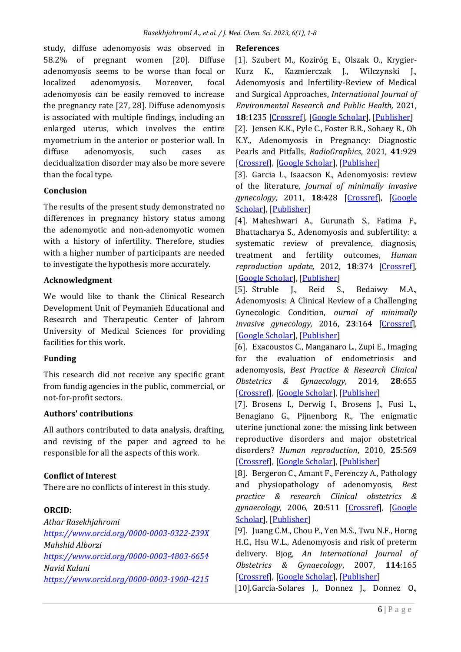study, diffuse adenomyosis was observed in 58.2% of pregnant women [20]. Diffuse adenomyosis seems to be worse than focal or localized adenomyosis. Moreover, focal adenomyosis can be easily removed to increase the pregnancy rate [27, 28]. Diffuse adenomyosis is associated with multiple findings, including an enlarged uterus, which involves the entire myometrium in the anterior or posterior wall. In diffuse adenomyosis, such cases as decidualization disorder may also be more severe than the focal type.

# **Conclusion**

The results of the present study demonstrated no differences in pregnancy history status among the adenomyotic and non-adenomyotic women with a history of infertility. Therefore, studies with a higher number of participants are needed to investigate the hypothesis more accurately.

# **Acknowledgment**

We would like to thank the Clinical Research Development Unit of Peymanieh Educational and Research and Therapeutic Center of Jahrom University of Medical Sciences for providing facilities for this work.

# **Funding**

This research did not receive any specific grant from fundig agencies in the public, commercial, or not-for-profit sectors.

# **Authors' contributions**

All authors contributed to data analysis, drafting, and revising of the paper and agreed to be responsible for all the aspects of this work.

# **Conflict of Interest**

There are no conflicts of interest in this study.

# **ORCID:**

*Athar Rasekhjahromi <https://www.orcid.org/0000-0003-0322-239X> Mahshid Alborzi <https://www.orcid.org/0000-0003-4803-6654> Navid Kalani <https://www.orcid.org/0000-0003-1900-4215>*

# **References**

[1]. Szubert M., Koziróg E., Olszak O., Krygier-Kurz K., Kazmierczak J., Wilczynski J., Adenomyosis and Infertility-Review of Medical and Surgical Approaches, *International Journal of Environmental Research and Public Health,* 2021, **18**:1235 [\[Crossref\]](https://doi.org/10.3390/ijerph18031235), [\[Google Scholar\]](https://scholar.google.com/scholar?hl=de&as_sdt=0%2C5&q=Adenomyosis+and+Infertility%E2%80%94Review+of+Medical+and+Surgical+Approaches&btnG=), [\[Publisher\]](https://www.mdpi.com/1660-4601/18/3/1235)

[2]. Jensen K.K., Pyle C., Foster B.R., Sohaey R., Oh K.Y., Adenomyosis in Pregnancy: Diagnostic Pearls and Pitfalls, *RadioGraphics*, 2021, **41**:929 [\[Crossref\]](https://doi.org/10.1148/rg.2021200120), [\[Google Scholar\]](https://scholar.google.com/scholar?hl=de&as_sdt=0%2C5&q=Adenomyosis+in+Pregnancy%3A+Diagnostic+Pearls+and+Pitfalls&btnG=), [\[Publisher\]](https://pubs.rsna.org/doi/full/10.1148/rg.2021200120)

[3]. Garcia L., Isaacson K., Adenomyosis: review of the literature, *Journal of minimally invasive gynecology*, 2011, **18**:428 [\[Crossref\]](https://doi.org/10.1016/j.jmig.2011.04.004), [\[Google](https://scholar.google.com/scholar?hl=de&as_sdt=0%2C5&q=Adenomyosis%3A+review+of+the+literature&btnG=)  [Scholar\]](https://scholar.google.com/scholar?hl=de&as_sdt=0%2C5&q=Adenomyosis%3A+review+of+the+literature&btnG=), [\[Publisher\]](https://www.sciencedirect.com/science/article/pii/S1553465011002305)

[4]. Maheshwari A., Gurunath S., Fatima F., Bhattacharya S., Adenomyosis and subfertility: a systematic review of prevalence, diagnosis, treatment and fertility outcomes, *Human reproduction update,* 2012, **18**:374 [\[Crossref\]](https://doi.org/10.1093/humupd/dms006), [\[Google Scholar\]](https://scholar.google.com/scholar?hl=de&as_sdt=0%2C5&q=Adenomyosis+and+subfertility%3A+a+systematic+review+of+prevalence%2C+diagnosis%2C+treatment+and+fertility+outcomes&btnG=), [\[Publisher\]](https://academic.oup.com/humupd/article/18/4/374/663868?login=true)

[5]. Struble J., Reid S., Bedaiwy M.A., Adenomyosis: A Clinical Review of a Challenging Gynecologic Condition, *ournal of minimally invasive gynecology,* 2016, **23**:164 [\[Crossref\]](https://doi.org/10.1016/j.jmig.2015.09.018), [\[Google Scholar\]](https://scholar.google.com/scholar?hl=de&as_sdt=0%2C5&q=Adenomyosis%3A+A+Clinical+Review+of+a+Challenging+Gynecologic+Condition&btnG=), [\[Publisher\]](https://www.sciencedirect.com/science/article/pii/S1553465015015599)

[6]. Exacoustos C., Manganaro L., Zupi E., Imaging for the evaluation of endometriosis and adenomyosis, *Best Practice & Research Clinical Obstetrics & Gynaecology*, 2014, **28**:655 [\[Crossref\]](https://doi.org/10.1016/j.bpobgyn.2014.04.010), [\[Google Scholar\]](https://scholar.google.com/scholar?hl=de&as_sdt=0%2C5&q=Imaging+for+the+evaluation+of+endometriosis+and+adenomyosis&btnG=), [\[Publisher\]](https://www.sciencedirect.com/science/article/abs/pii/S1521693414000820)

[7]. Brosens I., Derwig I., Brosens J., Fusi L., Benagiano G., Pijnenborg R., The enigmatic uterine junctional zone: the missing link between reproductive disorders and major obstetrical disorders? *Human reproduction*, 2010, **25**:569 [\[Crossref\]](https://doi.org/10.1093/humrep/dep474), [\[Google Scholar\]](https://scholar.google.com/scholar?hl=de&as_sdt=0%2C5&q=The+enigmatic+uterine+junctional+zone%3A+the+missing+link+between+reproductive+disorders+and+major+obstetrical+disorders%3F&btnG=), [\[Publisher\]](https://academic.oup.com/humrep/article/25/3/569/2915734?login=true)

[8]. Bergeron C., Amant F., Ferenczy A., Pathology and physiopathology of adenomyosis, *Best practice & research Clinical obstetrics & gynaecology*, 2006, **20**:511 [\[Crossref\]](https://doi.org/10.1016/j.bpobgyn.2006.01.016), [\[Google](https://scholar.google.com/scholar?hl=de&as_sdt=0%2C5&q=Pathology+and+physiopathology+of+adenomyosis&btnG=)  [Scholar\]](https://scholar.google.com/scholar?hl=de&as_sdt=0%2C5&q=Pathology+and+physiopathology+of+adenomyosis&btnG=), [\[Publisher\]](https://www.sciencedirect.com/science/article/abs/pii/S1521693406000307)

[9]. Juang C.M., Chou P., Yen M.S., Twu N.F., Horng H.C., Hsu W.L., Adenomyosis and risk of preterm delivery. Bjog, *An International Journal of Obstetrics & Gynaecology*, 2007, **114**:165 [\[Crossref\]](https://doi.org/10.1111/j.1471-0528.2006.01186.x), [\[Google Scholar\]](https://scholar.google.com/scholar?hl=de&as_sdt=0%2C5&q=Adenomyosis+and+risk+of+preterm+delivery&btnG=), [\[Publisher\]](https://obgyn.onlinelibrary.wiley.com/doi/abs/10.1111/j.1471-0528.2006.01186.x)

[10].García-Solares J., Donnez J., Donnez O.,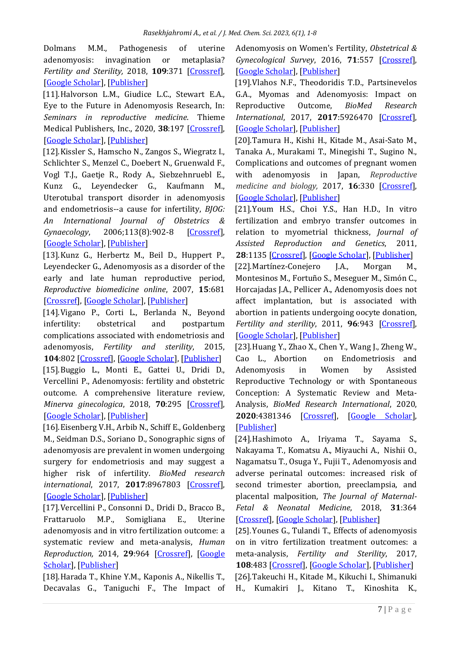Dolmans M.M., Pathogenesis of uterine adenomyosis: invagination or metaplasia? Fertility and Sterility, 2018, 109:371 [\[Crossref\]](https://doi.org/10.1016/j.fertnstert.2017.12.030), [\[Google Scholar\]](https://scholar.google.com/scholar?hl=de&as_sdt=0%2C5&q=Pathogenesis+of+uterine+adenomyosis%3A+invagination+or+metaplasia%3F&btnG=), [\[Publisher\]](https://www.sciencedirect.com/science/article/abs/pii/S0015028217321775)

[11].Halvorson L.M., Giudice L.C., Stewart E.A., Eye to the Future in Adenomyosis Research, In: *Seminars in reproductive medicine*. Thieme Medical Publishers, Inc., 2020, 38:197 [\[Crossref\]](https://doi.org/10.1055/s-0040-1721503), [\[Google Scholar\]](https://scholar.google.com/scholar?hl=de&as_sdt=0%2C5&q=Eye+to+the+Future+in+Adenomyosis+Research&btnG=), [\[Publisher\]](https://www.thieme-connect.com/products/ejournals/abstract/10.1055/s-0040-1721503)

[12].Kissler S., Hamscho N., Zangos S., Wiegratz I., Schlichter S., Menzel C., Doebert N., Gruenwald F., Vogl T.J., Gaetje R., Rody A., Siebzehnruebl E., Kunz G., Leyendecker G., Kaufmann M., Uterotubal transport disorder in adenomyosis and endometriosis--a cause for infertility, *BJOG: An International Journal of Obstetrics & Gynaecology*, 2006;113(8):902-8 [\[Crossref\]](https://doi.org/10.1111/j.1471-0528.2006.00970.x), [\[Google Scholar\]](https://scholar.google.com/scholar?hl=de&as_sdt=0%2C5&q=Uterotubal+transport+disorder+in+adenomyosis+and+endometriosis%E2%80%94a+cause+for+infertility&btnG=), [\[Publisher\]](https://obgyn.onlinelibrary.wiley.com/doi/abs/10.1111/j.1471-0528.2006.00970.x)

[13].Kunz G., Herbertz M., Beil D., Huppert P., Leyendecker G., Adenomyosis as a disorder of the early and late human reproductive period, *Reproductive biomedicine online*, 2007, **15**:681 [\[Crossref\]](https://doi.org/10.1016/S1472-6483(10)60535-4), [\[Google Scholar\]](https://scholar.google.com/scholar?hl=de&as_sdt=0%2C5&q=Adenomyosis+as+a+disorder+of+the+early+and+late+human+reproductive+period&btnG=), [\[Publisher\]](https://www.sciencedirect.com/science/article/abs/pii/S1472648310605354)

[14].Vigano P., Corti L., Berlanda N., Beyond infertility: obstetrical and postpartum complications associated with endometriosis and adenomyosis, *Fertility and sterility*, 2015, **104**:802 [\[Crossref\]](https://doi.org/10.1016/j.fertnstert.2015.08.030), [\[Google Scholar\]](https://scholar.google.com/scholar?hl=de&as_sdt=0%2C5&q=Beyond+infertility%3A+obstetrical+and+postpartum+complications+associated+with+endometriosis+and+adenomyosis&btnG=), [\[Publisher\]](https://www.sciencedirect.com/science/article/abs/pii/S0015028215018762) [15].Buggio L., Monti E., Gattei U., Dridi D., Vercellini P., Adenomyosis: fertility and obstetric outcome. A comprehensive literature review, *Minerva ginecologica*, 2018, **70**:295 [\[Crossref\]](https://doi.org/10.23736/s0026-4784.17.04163-6), [\[Google Scholar\]](https://scholar.google.com/scholar?hl=de&as_sdt=0%2C5&q=Adenomyosis%3A+fertility+and+obstetric+outcome.+A+comprehensive+literature+review.&btnG=), [\[Publisher\]](https://europepmc.org/article/med/29115118)

[16].Eisenberg V.H., Arbib N., Schiff E., Goldenberg M., Seidman D.S., Soriano D., Sonographic signs of adenomyosis are prevalent in women undergoing surgery for endometriosis and may suggest a higher risk of infertility. *BioMed research international*, 2017, **2017**:8967803 [\[Crossref\]](https://doi.org/10.1155/2017/8967803), [\[Google Scholar\]](https://scholar.google.com/scholar?hl=de&as_sdt=0%2C5&q=Sonographic+signs+of+adenomyosis+are+prevalent+in+women+undergoing+surgery+for+endometriosis+and+may+suggest+a+higher+risk+of+infertility&btnG=), [\[Publisher\]](https://www.hindawi.com/journals/bmri/2017/8967803/)

[17].Vercellini P., Consonni D., Dridi D., Bracco B., Frattaruolo M.P., Somigliana E., Uterine adenomyosis and in vitro fertilization outcome: a systematic review and meta-analysis, *Human Reproduction,* 2014, **29**:964 [\[Crossref\]](https://doi.org/10.1093/humrep/deu041), [\[Google](https://scholar.google.com/scholar?hl=de&as_sdt=0%2C5&q=Uterine+adenomyosis+and+in+vitro+fertilization+outcome%3A+a+systematic+review+and+meta-analysis.+Hum+Reprod.+2014%3B29%285%29%3A964-77&btnG=)  [Scholar\]](https://scholar.google.com/scholar?hl=de&as_sdt=0%2C5&q=Uterine+adenomyosis+and+in+vitro+fertilization+outcome%3A+a+systematic+review+and+meta-analysis.+Hum+Reprod.+2014%3B29%285%29%3A964-77&btnG=), [\[Publisher\]](https://academic.oup.com/humrep/article/29/5/964/675471?login=true)

[18].Harada T., Khine Y.M., Kaponis A., Nikellis T., Decavalas G., Taniguchi F., The Impact of Adenomyosis on Women's Fertility, *Obstetrical & Gynecological Survey*, 2016, **71**:557 [\[Crossref\]](https://doi.org/10.1097%2FOGX.0000000000000346), [\[Google Scholar\]](https://scholar.google.com/scholar?hl=de&as_sdt=0%2C5&q=The+Impact+of+Adenomyosis+on+Women%27s+Fertility&btnG=), [\[Publisher\]](https://journals.lww.com/obgynsurvey/Fulltext/2016/09000/The_Impact_of_Adenomyosis_on_Women_s_Fertility.20.aspx)

[19].Vlahos N.F., Theodoridis T.D., Partsinevelos G.A., Myomas and Adenomyosis: Impact on Reproductive Outcome, *BioMed Research International*, 2017, **2017**:5926470 [\[Crossref\]](https://doi.org/10.1155/2017/5926470), [\[Google Scholar\]](https://scholar.google.com/scholar?hl=de&as_sdt=0%2C5&q=Myomas+and+Adenomyosis%3A+Impact+on+Reproductive+Outcome&btnG=), [\[Publisher\]](https://www.hindawi.com/journals/bmri/2017/5926470/)

[20].Tamura H., Kishi H., Kitade M., Asai-Sato M., Tanaka A., Murakami T., Minegishi T., Sugino N., Complications and outcomes of pregnant women with adenomyosis in Japan, *Reproductive medicine and biology,* 2017, **16**:330 [\[Crossref\]](https://doi.org/10.1002/rmb2.12050), [\[Google Scholar\]](https://scholar.google.com/scholar?hl=de&as_sdt=0%2C5&q=Complications+and+outcomes+of+pregnant+women+with+adenomyosis+in+Japan&btnG=), [\[Publisher\]](https://onlinelibrary.wiley.com/doi/full/10.1002/rmb2.12050)

[21].Youm H.S., Choi Y.S., Han H.D., In vitro fertilization and embryo transfer outcomes in relation to myometrial thickness, *Journal of Assisted Reproduction and Genetics*, 2011, **28**:1135 [\[Crossref\]](https://doi.org/10.1007/s10815-011-9640-7), [\[Google Scholar\]](https://scholar.google.com/scholar?hl=de&as_sdt=0%2C5&q=In+vitro+fertilization+and+embryo+transfer+outcomes+in+relation+to+myometrial+thickness&btnG=), [\[Publisher\]](https://link.springer.com/article/10.1007/s10815-011-9640-7)

[22].Martínez-Conejero J.A., Morgan M., Montesinos M., Fortuño S., Meseguer M., Simón C., Horcajadas J.A., Pellicer A., Adenomyosis does not affect implantation, but is associated with abortion in patients undergoing oocyte donation, *Fertility and sterility*, 2011, **96**:943 [\[Crossref\]](https://doi.org/10.1016/j.fertnstert.2011.07.1088), [\[Google Scholar\]](https://scholar.google.com/scholar?hl=de&as_sdt=0%2C5&q=Adenomyosis+does+not+affect+implantation%2C+but+is+associated+with+abortion++in+patients+undergoing+oocyte+donation%2C+&btnG=), [\[Publisher\]](https://www.sciencedirect.com/science/article/abs/pii/S0015028211021856)

[23].Huang Y., Zhao X., Chen Y., Wang J., Zheng W., Cao L., Abortion on Endometriosis and Adenomyosis in Women by Assisted Reproductive Technology or with Spontaneous Conception: A Systematic Review and Meta-Analysis, *BioMed Research International*, 2020, **2020**:4381346 [\[Crossref\]](https://doi.org/10.1155/2020/4381346), [\[Google Scholar\]](https://scholar.google.com/scholar?hl=de&as_sdt=0%2C5&q=Abortion++on+Endometriosis+and+Adenomyosis+in+Women+by+Assisted+Reproductive+Technology+or+with+Spontaneous+Conception%3A+A+Systematic+Review+and+Meta-Analysis&btnG=), [\[Publisher\]](https://www.hindawi.com/journals/bmri/2020/4381346/)

[24].Hashimoto A., Iriyama T., Sayama S., Nakayama T., Komatsu A., Miyauchi A., Nishii O., Nagamatsu T., Osuga Y., Fujii T., Adenomyosis and adverse perinatal outcomes: increased risk of second trimester abortion, preeclampsia, and placental malposition, *The Journal of Maternal-Fetal & Neonatal Medicine*, 2018, **31**:364 [\[Crossref\]](https://doi.org/10.1080/14767058.2017.1285895), [\[Google Scholar\]](https://scholar.google.com/scholar?hl=de&as_sdt=0%2C5&q=Adenomyosis+and+adverse+perinatal+outcomes%3A+increased+risk+of+second+trimester+abortion+%2C+preeclampsia%2C+and+placental+malposition&btnG=), [\[Publisher\]](https://www.tandfonline.com/doi/abs/10.1080/14767058.2017.1285895)

[25].Younes G., Tulandi T., Effects of adenomyosis on in vitro fertilization treatment outcomes: a meta-analysis, *Fertility and Sterility*, 2017, **108**:483 [\[Crossref\]](https://doi.org/10.1016/j.fertnstert.2017.06.025), [\[Google Scholar\]](https://scholar.google.com/scholar?hl=de&as_sdt=0%2C5&q=Effects+of+adenomyosis+on+in+vitro+fertilization+treatment+outcomes%3A+a+meta-analysis&btnG=), [\[Publisher\]](https://www.sciencedirect.com/science/article/abs/pii/S0015028217304843) [26].Takeuchi H., Kitade M., Kikuchi I., Shimanuki H., Kumakiri J., Kitano T., Kinoshita K.,